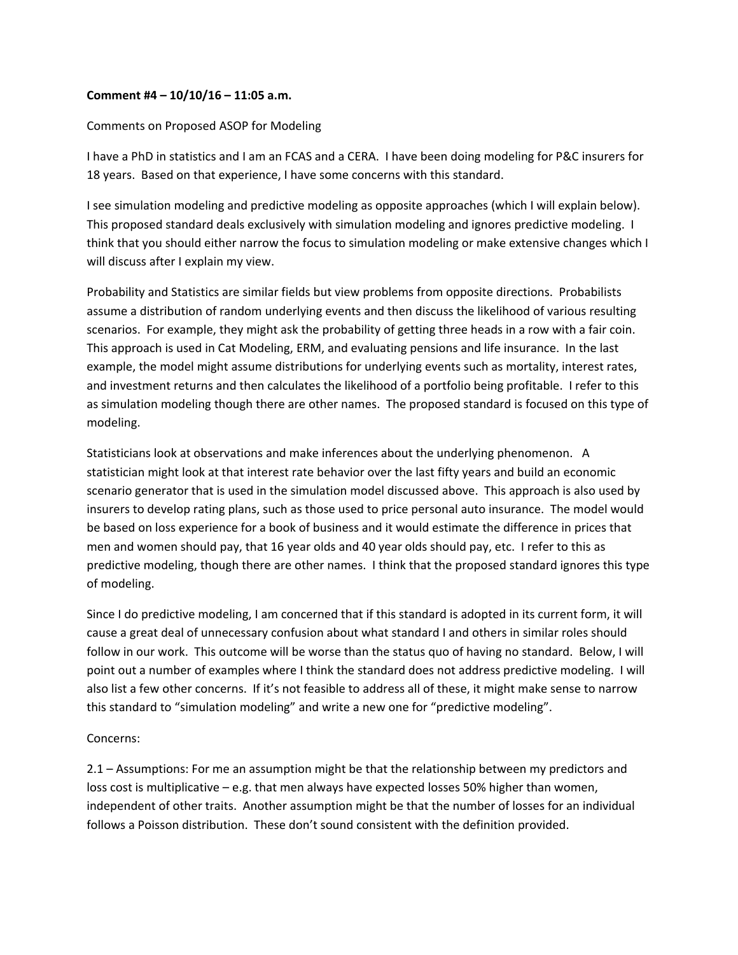## **Comment #4 – 10/10/16 – 11:05 a.m.**

## Comments on Proposed ASOP for Modeling

I have a PhD in statistics and I am an FCAS and a CERA. I have been doing modeling for P&C insurers for 18 years. Based on that experience, I have some concerns with this standard.

I see simulation modeling and predictive modeling as opposite approaches (which I will explain below). This proposed standard deals exclusively with simulation modeling and ignores predictive modeling. I think that you should either narrow the focus to simulation modeling or make extensive changes which I will discuss after I explain my view.

Probability and Statistics are similar fields but view problems from opposite directions. Probabilists assume a distribution of random underlying events and then discuss the likelihood of various resulting scenarios. For example, they might ask the probability of getting three heads in a row with a fair coin. This approach is used in Cat Modeling, ERM, and evaluating pensions and life insurance. In the last example, the model might assume distributions for underlying events such as mortality, interest rates, and investment returns and then calculates the likelihood of a portfolio being profitable. I refer to this as simulation modeling though there are other names. The proposed standard is focused on this type of modeling.

Statisticians look at observations and make inferences about the underlying phenomenon. A statistician might look at that interest rate behavior over the last fifty years and build an economic scenario generator that is used in the simulation model discussed above. This approach is also used by insurers to develop rating plans, such as those used to price personal auto insurance. The model would be based on loss experience for a book of business and it would estimate the difference in prices that men and women should pay, that 16 year olds and 40 year olds should pay, etc. I refer to this as predictive modeling, though there are other names. I think that the proposed standard ignores this type of modeling.

Since I do predictive modeling, I am concerned that if this standard is adopted in its current form, it will cause a great deal of unnecessary confusion about what standard I and others in similar roles should follow in our work. This outcome will be worse than the status quo of having no standard. Below, I will point out a number of examples where I think the standard does not address predictive modeling. I will also list a few other concerns. If it's not feasible to address all of these, it might make sense to narrow this standard to "simulation modeling" and write a new one for "predictive modeling".

## Concerns:

2.1 – Assumptions: For me an assumption might be that the relationship between my predictors and loss cost is multiplicative – e.g. that men always have expected losses 50% higher than women, independent of other traits. Another assumption might be that the number of losses for an individual follows a Poisson distribution. These don't sound consistent with the definition provided.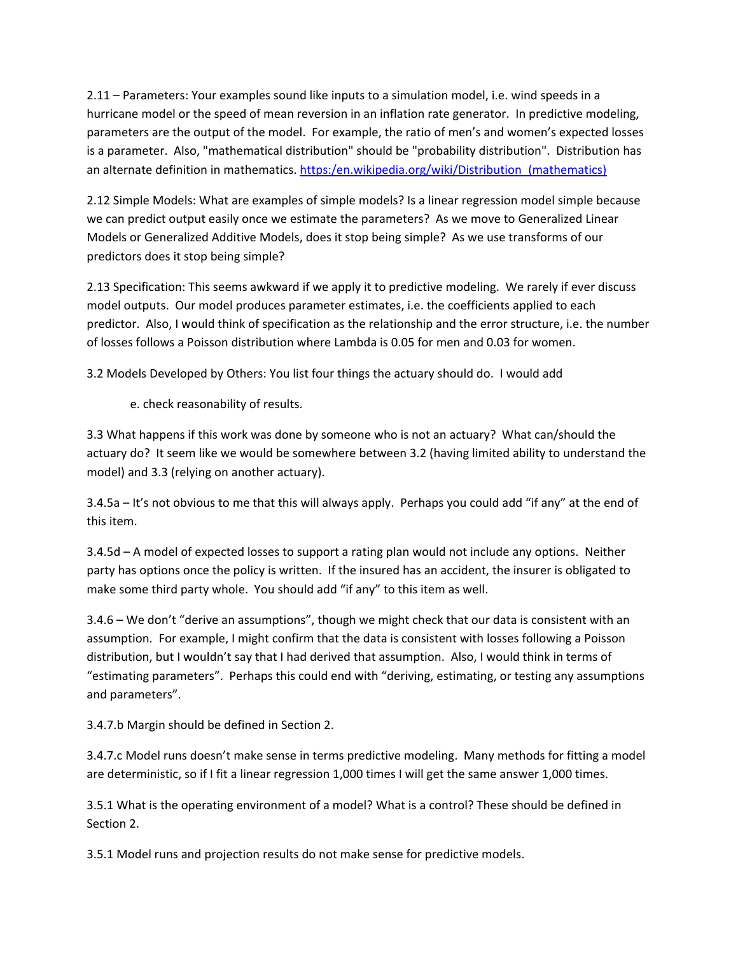2.11 – Parameters: Your examples sound like inputs to a simulation model, i.e. wind speeds in a hurricane model or the speed of mean reversion in an inflation rate generator. In predictive modeling, parameters are the output of the model. For example, the ratio of men's and women's expected losses is a parameter. Also, "mathematical distribution" should be "probability distribution". Distribution has an alternate definition in mathematics. https:/en.wikipedia.org/wiki/Distribution\_(mathematics)

2.12 Simple Models: What are examples of simple models? Is a linear regression model simple because we can predict output easily once we estimate the parameters? As we move to Generalized Linear Models or Generalized Additive Models, does it stop being simple? As we use transforms of our predictors does it stop being simple?

2.13 Specification: This seems awkward if we apply it to predictive modeling. We rarely if ever discuss model outputs. Our model produces parameter estimates, i.e. the coefficients applied to each predictor. Also, I would think of specification as the relationship and the error structure, i.e. the number of losses follows a Poisson distribution where Lambda is 0.05 for men and 0.03 for women.

3.2 Models Developed by Others: You list four things the actuary should do. I would add

e. check reasonability of results.

3.3 What happens if this work was done by someone who is not an actuary? What can/should the actuary do? It seem like we would be somewhere between 3.2 (having limited ability to understand the model) and 3.3 (relying on another actuary).

3.4.5a – It's not obvious to me that this will always apply. Perhaps you could add "if any" at the end of this item.

3.4.5d – A model of expected losses to support a rating plan would not include any options. Neither party has options once the policy is written. If the insured has an accident, the insurer is obligated to make some third party whole. You should add "if any" to this item as well.

3.4.6 – We don't "derive an assumptions", though we might check that our data is consistent with an assumption. For example, I might confirm that the data is consistent with losses following a Poisson distribution, but I wouldn't say that I had derived that assumption. Also, I would think in terms of "estimating parameters". Perhaps this could end with "deriving, estimating, or testing any assumptions and parameters".

3.4.7.b Margin should be defined in Section 2.

3.4.7.c Model runs doesn't make sense in terms predictive modeling. Many methods for fitting a model are deterministic, so if I fit a linear regression 1,000 times I will get the same answer 1,000 times.

3.5.1 What is the operating environment of a model? What is a control? These should be defined in Section 2.

3.5.1 Model runs and projection results do not make sense for predictive models.